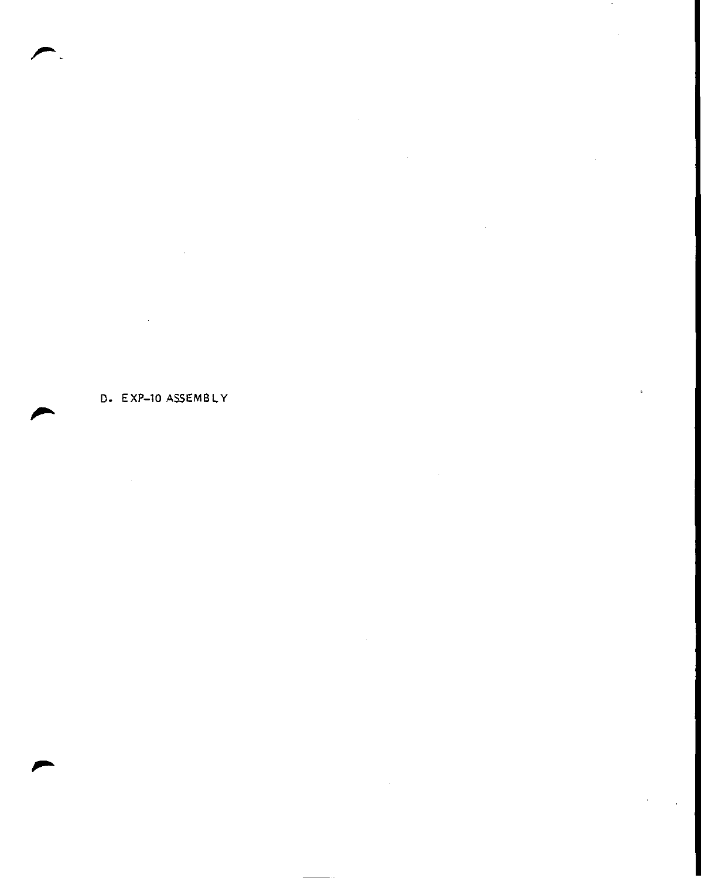D. EXP-10 ASSEMBLY

 $\mathcal{L}^{\mathcal{L}}(\mathcal{L}^{\mathcal{L}})$  and  $\mathcal{L}^{\mathcal{L}}(\mathcal{L}^{\mathcal{L}})$  and  $\mathcal{L}^{\mathcal{L}}(\mathcal{L}^{\mathcal{L}})$ 

 $\mathcal{L}(\mathcal{L}^{\mathcal{L}})$  and  $\mathcal{L}(\mathcal{L}^{\mathcal{L}})$  and  $\mathcal{L}(\mathcal{L}^{\mathcal{L}})$ 

 $\mathcal{L}(\mathcal{L}^{\mathcal{L}})$  and  $\mathcal{L}(\mathcal{L}^{\mathcal{L}})$  and  $\mathcal{L}(\mathcal{L}^{\mathcal{L}})$ 

 $\mathcal{F}_\mathrm{c}$ 

 $\hat{\boldsymbol{\beta}}$ 

r

r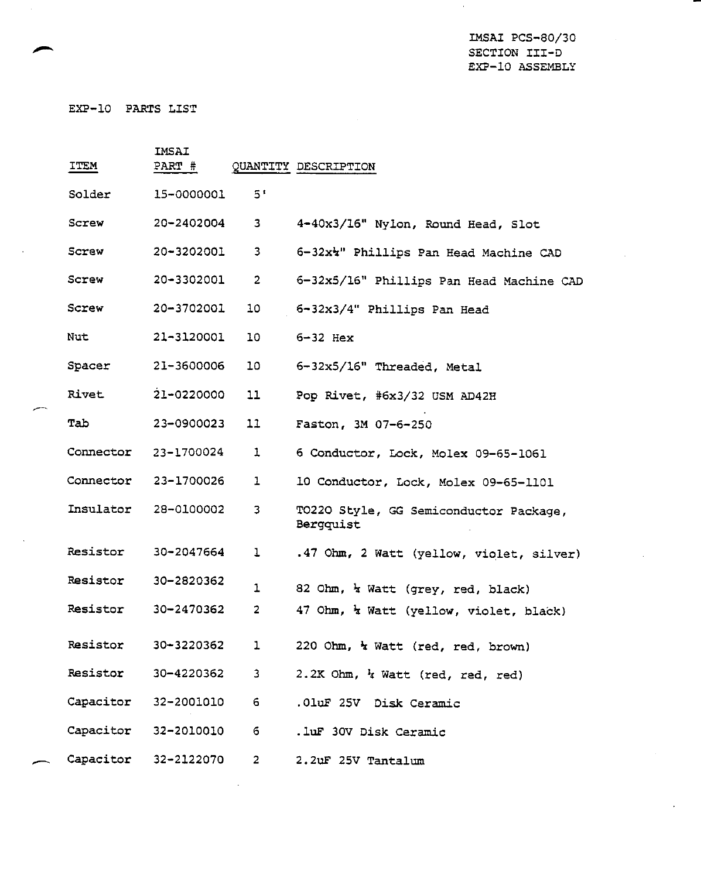IMSAI PCS-80/30 SECTION III-D EXP-10 ASSEMBLY

 $\hat{\mathcal{C}}$ 

EXP-10 PARTS LIST

| ITEM                 | IMSAI<br>PART # |                         | QUANTITY DESCRIPTION                                |
|----------------------|-----------------|-------------------------|-----------------------------------------------------|
| Solder               | 15-0000001      | 5'                      |                                                     |
| Screw                | 20-2402004      | з                       | 4-40x3/16" Nylon, Round Head, Slot                  |
| Screw                | 20-3202001      | 3                       | 6-32x4" Phillips Pan Head Machine CAD               |
| Screw                | 20-3302001      | $\overline{2}$          | 6-32x5/16" Phillips Pan Head Machine CAD            |
| Screw                | 20-3702001      | 10                      | 6-32x3/4" Phillips Pan Head                         |
| Nut                  | 21-3120001      | 10                      | $6-32$ Hex                                          |
| Spacer               | 21-3600006      | 10                      | 6-32x5/16" Threaded, Metal                          |
| Rivet                | 21-0220000      | 11                      | Pop Rivet, #6x3/32 USM AD42H                        |
| Tab                  | 23-0900023      | 11                      | Faston, 3M 07-6-250                                 |
| Connector            | 23-1700024      | 1                       | 6 Conductor, Lock, Molex 09-65-1061                 |
| Connector            | 23-1700026      | 1                       | 10 Conductor, Lock, Molex 09-65-1101                |
| Insulator            | 28-0100002      | 3                       | TO22O Style, GG Semiconductor Package,<br>Bergquist |
| Resistor             | 30-2047664      | 1                       | .47 Ohm, 2 Watt (yellow, violet, silver)            |
| Resistor             | 30-2820362      | $\mathbf 1$             | 82 Ohm, <i>k</i> Watt (grey, red, black)            |
| Resistor             | 30-2470362      | $\overline{\mathbf{c}}$ | 47 Ohm, <i>k Watt</i> (yellow, violet, black)       |
| Resistor             | 30-3220362      | ı                       | 220 Ohm, a Watt (red, red, brown)                   |
| Resistor             | 30-4220362      | $\mathbf{3}$            | 2.2K Ohm, k Watt (red, red, red)                    |
| Capacitor 32-2001010 |                 | 6                       | .01uF 25V Disk Ceramic                              |
| Capacitor 32-2010010 |                 | 6                       | .luF 30V Disk Ceramic                               |
| Capacitor            | 32-2122070      | $\overline{2}$          | 2.2uF 25V Tantalum                                  |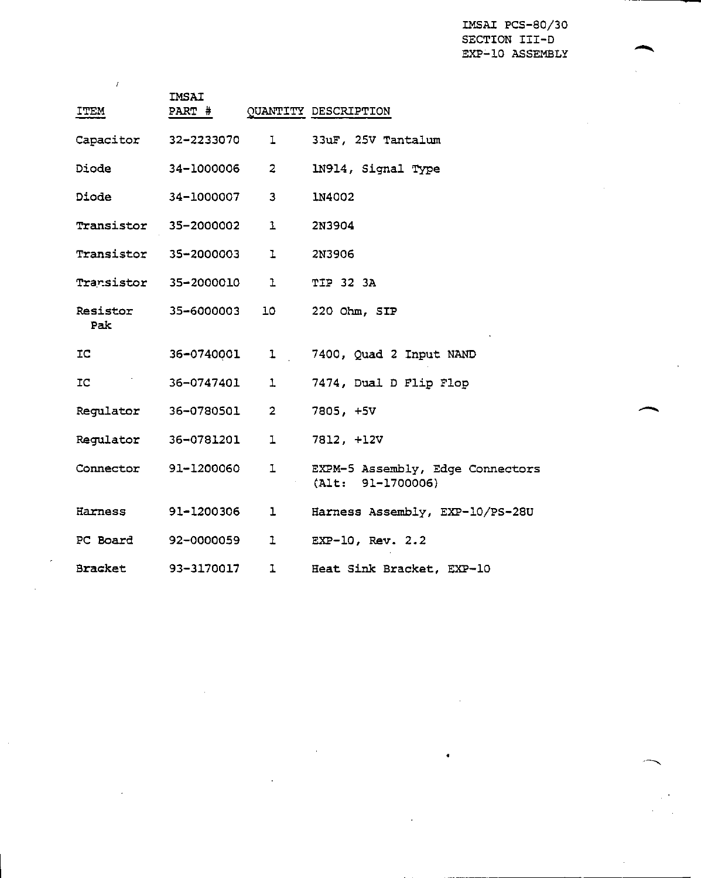IMSAI PCS-80/30 SECTION III-D EXP-10 ASSEMBLY

| ITEM                              | IMSAI        |                         | PART # QUANTITY DESCRIPTION                           |
|-----------------------------------|--------------|-------------------------|-------------------------------------------------------|
| Capacitor 32-2233070              |              | $\mathbf{I}$            | 33uF, 25V Tantalum                                    |
| Diode                             | 34-1000006   | $\overline{2}$          | 1N914, Signal Type                                    |
| Diode                             | 34-1000007   | $\overline{\mathbf{3}}$ | <b>1N4002</b>                                         |
| <b>Transistor 35-2000002 1</b>    |              |                         | 2N3904                                                |
| Transistor 35-2000003 1           |              |                         | 2N3906                                                |
| Transistor 35-2000010 1           |              |                         | <b>TIP 32 3A</b>                                      |
| <b>Resistor 35-6000003</b><br>Pak |              |                         | 10 220 Ohm, SIP                                       |
| IC.                               |              |                         | 36-0740001 1 7400, Quad 2 Input NAND                  |
| IC.                               | 36-0747401 1 |                         | 7474, Dual D Flip Flop                                |
| Regulator 36-0780501 2            |              |                         | 7805, +5V                                             |
| Regulator  36-0781201  1          |              |                         | 7812, +12V                                            |
| Connector                         | 91-1200060   | ı                       | EXPM-5 Assembly, Edge Connectors<br>(Alt: 91-1700006) |
| Harness                           | 91-1200306   | ı                       | Harness Assembly, EXP-10/PS-28U                       |
| PC Board 92-0000059               |              | 1                       | $EXP-10$ , $Rev. 2.2$                                 |
| Bracket 93-3170017                |              | $\mathbf{I}$            | Heat Sink Bracket, EXP-10                             |

 $\lambda$ 

 $\bar{a}$